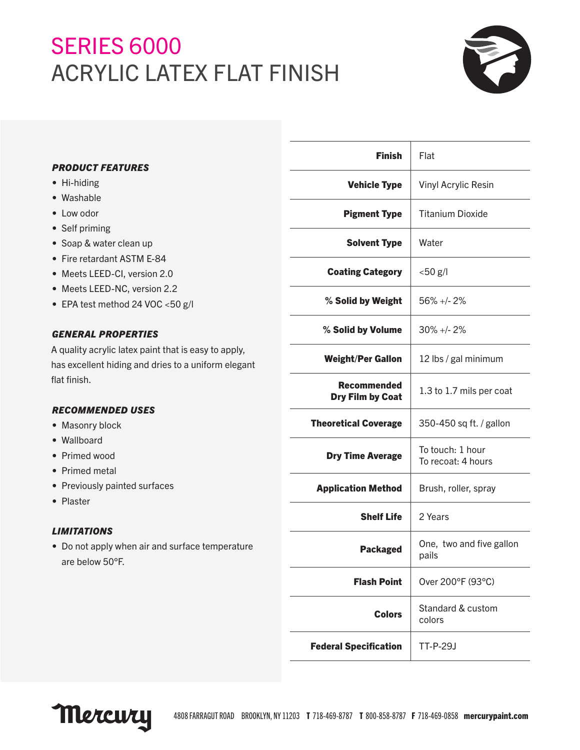## SERIES 6000 ACRYLIC LATEX FLAT FINISH



| <b>PRODUCT FEATURES</b> |  |
|-------------------------|--|
|-------------------------|--|

- Hi-hiding
- Washable
- Low odor
- Self priming
- Soap & water clean up
- Fire retardant ASTM E-84
- Meets LEED-CI, version 2.0
- Meets LEED-NC, version 2.2
- EPA test method 24 VOC <50 g/l

### *GENERAL PROPERTIES*

A quality acrylic latex paint that is easy to apply, has excellent hiding and dries to a uniform elegant flat finish.

#### *RECOMMENDED USES*

- Masonry block
- Wallboard
- Primed wood
- Primed metal
- Previously painted surfaces
- Plaster

#### *LIMITATIONS*

• Do not apply when air and surface temperature are below 50°F.

| <b>Finish</b>                                 | Flat                                   |
|-----------------------------------------------|----------------------------------------|
| <b>Vehicle Type</b>                           | <b>Vinyl Acrylic Resin</b>             |
| <b>Pigment Type</b>                           | <b>Titanium Dioxide</b>                |
| <b>Solvent Type</b>                           | Water                                  |
| <b>Coating Category</b>                       | $< 50$ g/l                             |
| % Solid by Weight                             | 56% +/- 2%                             |
| % Solid by Volume                             | $30\% +12\%$                           |
| <b>Weight/Per Gallon</b>                      | 12 lbs / gal minimum                   |
| <b>Recommended</b><br><b>Dry Film by Coat</b> | 1.3 to 1.7 mils per coat               |
| <b>Theoretical Coverage</b>                   | 350-450 sq ft. / gallon                |
| <b>Dry Time Average</b>                       | To touch: 1 hour<br>To recoat: 4 hours |
| <b>Application Method</b>                     | Brush, roller, spray                   |
| <b>Shelf Life</b>                             | 2 Years                                |
| <b>Packaged</b>                               | One, two and five gallon<br>pails      |
| <b>Flash Point</b>                            | Over 200°F (93°C)                      |
| <b>Colors</b>                                 | Standard & custom<br>colors            |
| <b>Federal Specification</b>                  | TT-P-29J                               |